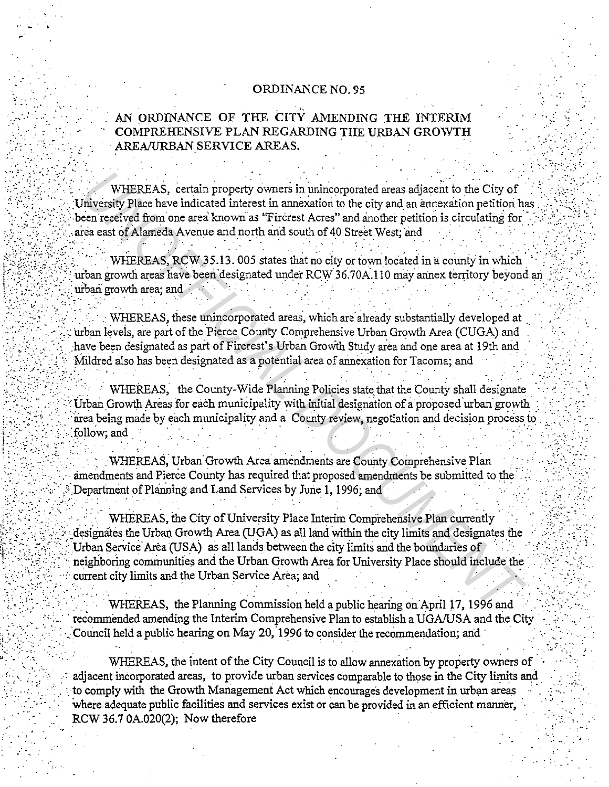## ORDINANCE NO. 95

## AN ORDINANCE OF THE CITY AMENDING THE INTERIM COMPREHENSIVE PLAN REGARDING THE URBAN GROWTH AREA/URBAN SERVICE AREAS.

WHEREAS, certain property owners in unincorporated areas adjacent to the City of University Place have indicated interest in annexation to the city and an annexation petition has been received from one area known as "Fircrest Acres" and another petition is circulating for area east of Alameda Avenue and north and south of 40 Street West; and

WHEREAS, RCW 35.13.005 states that no city or town located in a county in which urban growth areas have been designated under RCW 36.70A.110 may annex territory beyond an urban growth area; and

WHEREAS, these unincorporated areas, which are already substantially developed at urban levels, are part of the Pierce County Comprehensive Urban Growth Area (CUGA) and have been designated as part of Firerest's Urban Growth Study area and one area at 19th and Mildred also has been designated as a potential area of annexation for Tacoma; and

WHEREAS, the County-Wide Planning Policies state that the County shall designate Urban Growth Areas for each municipality with initial designation of a proposed urban growth area being made by each municipality and a County review, negotiation and decision process to follow; and

WHEREAS, Urban Growth Area amendments are County Comprehensive Plan amendments and Pierce County has required that proposed amendments be submitted to the Department of Planning and Land Services by June 1, 1996; and

WHEREAS, the City of University Place Interim Comprehensive Plan currently designates the Urban Growth Area (UGA) as all land within the city limits and designates the Urban Service Area (USA) as all lands between the city limits and the boundaries of neighboring communities and the Urban Growth Area for University Place should include the current city limits and the Urban Service Area: and

WHEREAS, the Planning Commission held a public hearing on April 17, 1996 and recommended amending the Interim Comprehensive Plan to establish a UGA/USA and the City Council held a public hearing on May 20, 1996 to consider the recommendation; and

WHEREAS, the intent of the City Council is to allow annexation by property owners of adiacent incorporated areas, to provide urban services comparable to those in the City limits and to comply with the Growth Management Act which encourages development in urban areas where adequate public facilities and services exist or can be provided in an efficient manner, RCW 36.7 0A.020(2); Now therefore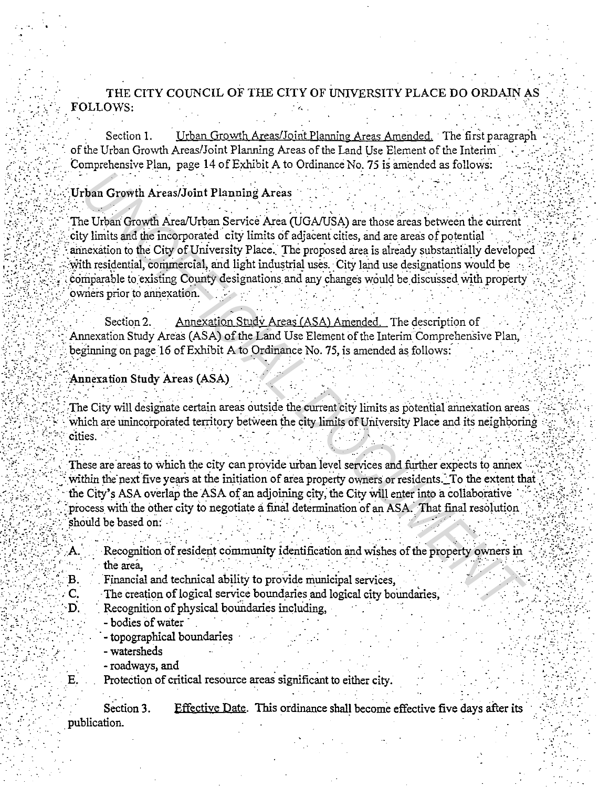THE CITY COUNCIL OF THE CITY OF UNIVERSITY PLACE DO ORDAIN AS FOLLOWS:

Section 1. Urban Growth Areas/Joint Planning Areas Amended. The first paragraph of the Urban Growth Areas/Joint Planning Areas of the Land Use Element of the Interim Comprehensive Plan, page 14 of Exhibit A to Ordinance No. 75 is amended as follows:

## Urban Growth Areas/Joint Planning Areas

The Urban Growth Area/Urban Service Area (UGA/USA) are those areas between the current city limits and the incorporated city limits of adjacent cities, and are areas of potential annexation to the City of University Place. The proposed area is already substantially developed with residential, commercial, and light industrial uses. City land use designations would be comparable to existing County designations and any changes would be discussed with property owners prior to annexation.

Section 2. Annexation Study Areas (ASA) Amended. The description of Annexation Study Areas (ASA) of the Land Use Element of the Interim Comprehensive Plan, beginning on page 16 of Exhibit A to Ordinance No. 75, is amended as follows:

## **Annexation Study Areas (ASA)**

The City will designate certain areas outside the current city limits as potential annexation areas which are unincorporated territory between the city limits of University Place and its neighboring cities.

These are areas to which the city can provide urban level services and further expects to annex within the next five years at the initiation of area property owners or residents. To the extent that the City's ASA overlap the ASA of an adjoining city, the City will enter into a collaborative process with the other city to negotiate a final determination of an ASA. That final resolution should be based on:

Recognition of resident community identification and wishes of the property owners in the area.

- Financial and technical ability to provide municipal services.  $\mathbf{B}$ .
- The creation of logical service boundaries and logical city boundaries,  $\mathbf{C}$ 
	- Recognition of physical boundaries including.
		- bodies of water
		- topographical boundaries - watersheds
		- roadways, and

D.

Е.

Protection of critical resource areas significant to either city.

Section 3. Effective Date. This ordinance shall become effective five days after its publication.